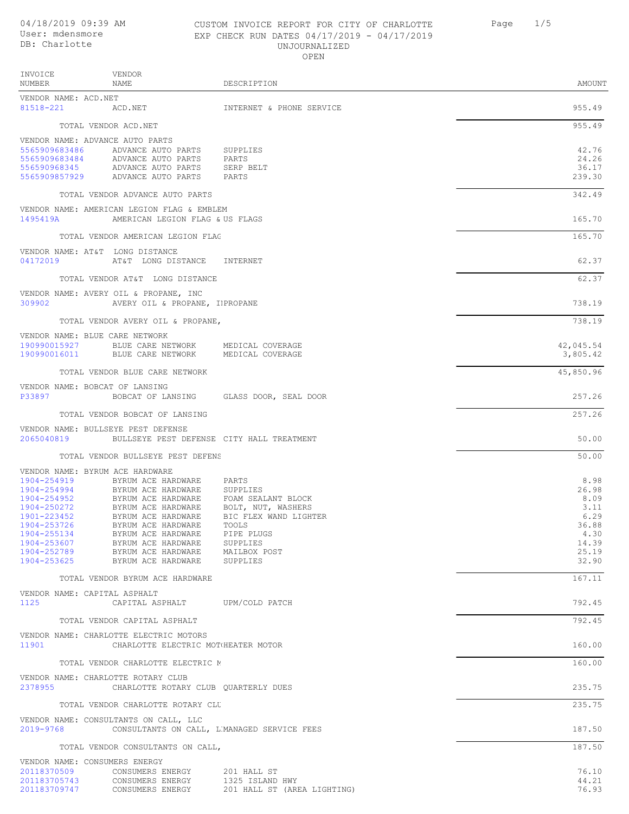# CUSTOM INVOICE REPORT FOR CITY OF CHARLOTTE Page 1/5 UNJOURNALIZED

| User: mdensmore<br>EXP CHECK RUN DATES 04/17/2019 - 04/17/2019<br>DB: Charlotte<br>UNJOURNALIZED<br>OPEN |                                                                                                                  |                                           |                                   |
|----------------------------------------------------------------------------------------------------------|------------------------------------------------------------------------------------------------------------------|-------------------------------------------|-----------------------------------|
| INVOICE<br>NUMBER                                                                                        | VENDOR<br>NAME                                                                                                   | DESCRIPTION                               | AMOUNT                            |
| VENDOR NAME: ACD.NET                                                                                     |                                                                                                                  |                                           |                                   |
| 81518-221                                                                                                | ACD.NET                                                                                                          | INTERNET & PHONE SERVICE                  | 955.49                            |
|                                                                                                          | TOTAL VENDOR ACD.NET                                                                                             |                                           | 955.49                            |
| VENDOR NAME: ADVANCE AUTO PARTS<br>5565909683486<br>556590968345                                         | ADVANCE AUTO PARTS<br>5565909683484 ADVANCE AUTO PARTS<br>ADVANCE AUTO PARTS<br>5565909857929 ADVANCE AUTO PARTS | SUPPLIES<br>PARTS<br>SERP BELT<br>PARTS   | 42.76<br>24.26<br>36.17<br>239.30 |
|                                                                                                          | TOTAL VENDOR ADVANCE AUTO PARTS                                                                                  |                                           | 342.49                            |
| 1495419A                                                                                                 | VENDOR NAME: AMERICAN LEGION FLAG & EMBLEM<br>AMERICAN LEGION FLAG & US FLAGS                                    |                                           | 165.70                            |
|                                                                                                          | TOTAL VENDOR AMERICAN LEGION FLAG                                                                                |                                           | 165.70                            |
| VENDOR NAME: AT&T LONG DISTANCE<br>04172019                                                              | AT&T LONG DISTANCE INTERNET                                                                                      |                                           | 62.37                             |
|                                                                                                          | TOTAL VENDOR AT&T LONG DISTANCE                                                                                  |                                           | 62.37                             |
| 309902                                                                                                   | VENDOR NAME: AVERY OIL & PROPANE, INC<br>AVERY OIL & PROPANE, IPROPANE                                           |                                           | 738.19                            |
|                                                                                                          | TOTAL VENDOR AVERY OIL & PROPANE,                                                                                |                                           | 738.19                            |
| VENDOR NAME: BLUE CARE NETWORK<br>190990016011                                                           | 190990015927 BLUE CARE NETWORK MEDICAL COVERAGE<br>BLUE CARE NETWORK                                             | MEDICAL COVERAGE                          | 42,045.54<br>3,805.42             |
|                                                                                                          | TOTAL VENDOR BLUE CARE NETWORK                                                                                   |                                           | 45,850.96                         |
| VENDOR NAME: BOBCAT OF LANSING<br>P33897                                                                 |                                                                                                                  | BOBCAT OF LANSING GLASS DOOR, SEAL DOOR   | 257.26                            |
|                                                                                                          | TOTAL VENDOR BOBCAT OF LANSING                                                                                   |                                           | 257.26                            |
| 2065040819                                                                                               | VENDOR NAME: BULLSEYE PEST DEFENSE                                                                               | BULLSEYE PEST DEFENSE CITY HALL TREATMENT | 50.00                             |
|                                                                                                          | TOTAL VENDOR BULLSEYE PEST DEFENS                                                                                |                                           | 50.00                             |
| VENDOR NAME: BYRUM ACE HARDWARE                                                                          |                                                                                                                  |                                           | $\sim$ $\sim$ $\sim$              |

VENDOR NAME: BYR<br>1904-254919 1904-254919 BYRUM ACE HARDWARE PARTS 8.98 1904-254994 BYRUM ACE HARDWARE SUPPLIES 26.98 1904-254952 BYRUM ACE HARDWARE FOAM SEALANT BLOCK<br>1904-250272 BYRUM ACE HARDWARE BOLT, NUT, WASHERS 8.09 BYRUM ACE HARDWARE 1904-250272 BYRUM ACE HARDWARE BOLT, NUT, WASHERS<br>1901-223452 BYRUM ACE HARDWARE BIC FLEX WAND LIGHTER 3.29 1901-223452 BYRUM ACE HARDWARE BIC FLEX WAND LIGHTER (29 1994-253726 BYRUM ACE HARDWARE TOOLS (36.88) 1904-253726 BYRUM ACE HARDWARE TOOLS 36.88 1904-255134 BYRUM ACE HARDWARE PIPE PLUGS 4.30 1904-253607 BYRUM ACE HARDWARE SUPPLIES 14.39 1904-252789 BYRUM ACE HARDWARE MAILBOX POST 25.19 1904-253625 BYRUM ACE HARDWARE SUPPLIES 32.90

TOTAL VENDOR BYRUM ACE HARDWARE 167.11

## VENDOR NAME: CAPITAL ASPHALT 1125 CAPITAL ASPHALT UPM/COLD PATCH 792.45 TOTAL VENDOR CAPITAL ASPHALT 792.45 VENDOR NAME: CHARLOTTE ELECTRIC MOTORS 11901 CHARLOTTE ELECTRIC MOTORS HEATER MOTOR 160.00 TOTAL VENDOR CHARLOTTE ELECTRIC MOTORS 160.00 VENDOR NAME: CHARLOTTE ROTARY CLUB<br>2378955 CHARLOTTE ROTARY 2378955 CHARLOTTE ROTARY CLUB QUARTERLY DUES 235.75

TOTAL VENDOR CHARLOTTE ROTARY CLU VENDOR NAME: CONSULTANTS ON CALL, LLC<br>2019-9768 CONSULTANTS ON CALL

CONSULTANTS ON CALL, L'MANAGED SERVICE FEES 187.50 TOTAL VENDOR CONSULTANTS ON CALL,  $187.50$ 

|              | VENDOR NAME: CONSUMERS ENERGY |                             |       |
|--------------|-------------------------------|-----------------------------|-------|
| 20118370509  | CONSUMERS ENERGY              | 201 HALL ST                 | 76.10 |
| 201183705743 | CONSUMERS ENERGY              | 1325 ISLAND HWY             | 44.21 |
| 201183709747 | CONSUMERS ENERGY              | 201 HALL ST (AREA LIGHTING) | 76.93 |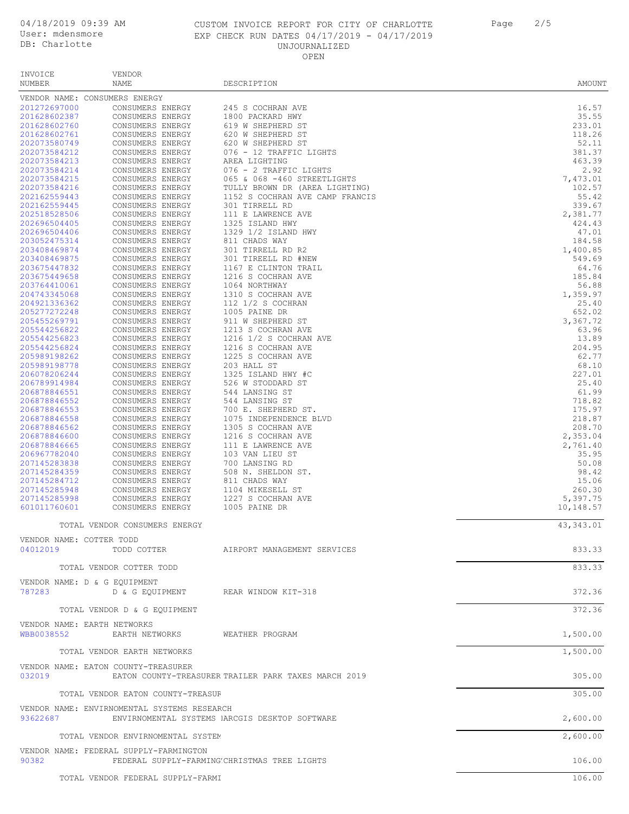## CUSTOM INVOICE REPORT FOR CITY OF CHARLOTTE Page 2/5 EXP CHECK RUN DATES 04/17/2019 - 04/17/2019 UNJOURNALIZED OPEN

| Page | 2/5 |
|------|-----|
|      |     |
|      |     |

| INVOICE                      | <b>VENDOR</b>                                                       |                                                      |                    |
|------------------------------|---------------------------------------------------------------------|------------------------------------------------------|--------------------|
| NUMBER                       | NAME                                                                | DESCRIPTION                                          | AMOUNT             |
| 201272697000                 | VENDOR NAME: CONSUMERS ENERGY                                       |                                                      | 16.57              |
| 201628602387                 | CONSUMERS ENERGY<br>CONSUMERS ENERGY                                | 245 S COCHRAN AVE<br>1800 PACKARD HWY                | 35.55              |
| 201628602760                 | CONSUMERS ENERGY                                                    | 619 W SHEPHERD ST                                    | 233.01             |
| 201628602761                 | CONSUMERS ENERGY                                                    | 620 W SHEPHERD ST                                    | 118.26             |
| 202073580749                 | CONSUMERS ENERGY                                                    | 620 W SHEPHERD ST                                    | 52.11              |
| 202073584212<br>202073584213 | CONSUMERS ENERGY<br>CONSUMERS ENERGY                                | 076 - 12 TRAFFIC LIGHTS<br>AREA LIGHTING             | 381.37<br>463.39   |
| 202073584214                 | CONSUMERS ENERGY                                                    | 076 - 2 TRAFFIC LIGHTS                               | 2.92               |
| 202073584215                 | CONSUMERS ENERGY                                                    | 065 & 068 -460 STREETLIGHTS                          | 7,473.01           |
| 202073584216                 | CONSUMERS ENERGY                                                    | TULLY BROWN DR (AREA LIGHTING)                       | 102.57             |
| 202162559443                 | CONSUMERS ENERGY                                                    | 1152 S COCHRAN AVE CAMP FRANCIS                      | 55.42              |
| 202162559445<br>202518528506 | CONSUMERS ENERGY<br>CONSUMERS ENERGY                                | 301 TIRRELL RD<br>111 E LAWRENCE AVE                 | 339.67<br>2,381.77 |
| 202696504405                 | CONSUMERS ENERGY                                                    | 1325 ISLAND HWY                                      | 424.43             |
| 202696504406                 | CONSUMERS ENERGY                                                    | 1329 1/2 ISLAND HWY                                  | 47.01              |
| 203052475314                 | CONSUMERS ENERGY                                                    | 811 CHADS WAY                                        | 184.58             |
| 203408469874<br>203408469875 | CONSUMERS ENERGY<br>CONSUMERS ENERGY                                | 301 TIRRELL RD R2<br>301 TIREELL RD #NEW             | 1,400.85<br>549.69 |
| 203675447832                 | CONSUMERS ENERGY                                                    | 1167 E CLINTON TRAIL                                 | 64.76              |
| 203675449658                 | CONSUMERS ENERGY                                                    | 1216 S COCHRAN AVE                                   | 185.84             |
| 203764410061                 | CONSUMERS ENERGY                                                    | 1064 NORTHWAY                                        | 56.88              |
| 204743345068                 | CONSUMERS ENERGY                                                    | 1310 S COCHRAN AVE                                   | 1,359.97           |
| 204921336362<br>205277272248 | CONSUMERS ENERGY<br>CONSUMERS ENERGY                                | 112 1/2 S COCHRAN<br>1005 PAINE DR                   | 25.40<br>652.02    |
| 205455269791                 | CONSUMERS ENERGY                                                    | 911 W SHEPHERD ST                                    | 3,367.72           |
| 205544256822                 | CONSUMERS ENERGY                                                    | 1213 S COCHRAN AVE                                   | 63.96              |
| 205544256823                 | CONSUMERS ENERGY                                                    | 1216 1/2 S COCHRAN AVE                               | 13.89              |
| 205544256824                 | CONSUMERS ENERGY                                                    | 1216 S COCHRAN AVE                                   | 204.95             |
| 205989198262                 | CONSUMERS ENERGY                                                    | 1225 S COCHRAN AVE                                   | 62.77              |
| 205989198778<br>206078206244 | CONSUMERS ENERGY<br>CONSUMERS ENERGY                                | 203 HALL ST<br>1325 ISLAND HWY #C                    | 68.10<br>227.01    |
| 206789914984                 | CONSUMERS ENERGY                                                    | 526 W STODDARD ST                                    | 25.40              |
| 206878846551                 | CONSUMERS ENERGY                                                    | 544 LANSING ST                                       | 61.99              |
| 206878846552                 | CONSUMERS ENERGY                                                    | 544 LANSING ST                                       | 718.82             |
| 206878846553<br>206878846558 | CONSUMERS ENERGY<br>CONSUMERS ENERGY                                | 700 E. SHEPHERD ST.<br>1075 INDEPENDENCE BLVD        | 175.97<br>218.87   |
| 206878846562                 | CONSUMERS ENERGY                                                    | 1305 S COCHRAN AVE                                   | 208.70             |
| 206878846600                 | CONSUMERS ENERGY                                                    | 1216 S COCHRAN AVE                                   | 2,353.04           |
| 206878846665                 | CONSUMERS ENERGY                                                    | 111 E LAWRENCE AVE                                   | 2,761.40           |
| 206967782040                 | CONSUMERS ENERGY                                                    | 103 VAN LIEU ST                                      | 35.95              |
| 207145283838<br>207145284359 | CONSUMERS ENERGY<br>CONSUMERS ENERGY                                | 700 LANSING RD<br>508 N. SHELDON ST.                 | 50.08<br>98.42     |
| 207145284712                 | CONSUMERS ENERGY                                                    | 811 CHADS WAY                                        | 15.06              |
| 207145285948                 | CONSUMERS ENERGY                                                    | 1104 MIKESELL ST                                     | 260.30             |
| 207145285998                 | CONSUMERS ENERGY                                                    | 1227 S COCHRAN AVE                                   | 5,397.75           |
| 601011760601                 | CONSUMERS ENERGY                                                    | 1005 PAINE DR                                        | 10,148.57          |
|                              | TOTAL VENDOR CONSUMERS ENERGY                                       |                                                      | 43, 343.01         |
| VENDOR NAME: COTTER TODD     |                                                                     |                                                      |                    |
| 04012019                     |                                                                     |                                                      | 833.33             |
|                              | TOTAL VENDOR COTTER TODD                                            |                                                      | 833.33             |
|                              |                                                                     |                                                      |                    |
| 787283                       | VENDOR NAME: D & G EQUIPMENT<br>D & G EQUIPMENT REAR WINDOW KIT-318 |                                                      | 372.36             |
|                              |                                                                     |                                                      |                    |
|                              | TOTAL VENDOR D & G EQUIPMENT                                        |                                                      | 372.36             |
|                              | VENDOR NAME: EARTH NETWORKS                                         |                                                      |                    |
|                              | WBB0038552 EARTH NETWORKS                                           | WEATHER PROGRAM                                      | 1,500.00           |
|                              | TOTAL VENDOR EARTH NETWORKS                                         |                                                      | 1,500.00           |
|                              | VENDOR NAME: EATON COUNTY-TREASURER                                 |                                                      |                    |
| 032019                       |                                                                     | EATON COUNTY-TREASURER TRAILER PARK TAXES MARCH 2019 | 305.00             |
|                              | TOTAL VENDOR EATON COUNTY-TREASUF                                   |                                                      | 305.00             |
|                              | VENDOR NAME: ENVIRNOMENTAL SYSTEMS RESEARCH                         |                                                      |                    |
| 93622687                     |                                                                     | ENVIRNOMENTAL SYSTEMS IARCGIS DESKTOP SOFTWARE       | 2,600.00           |
|                              | TOTAL VENDOR ENVIRNOMENTAL SYSTEM                                   |                                                      | 2,600.00           |
|                              | VENDOR NAME: FEDERAL SUPPLY-FARMINGTON                              |                                                      |                    |
| 90382                        |                                                                     | FEDERAL SUPPLY-FARMING'CHRISTMAS TREE LIGHTS         | 106.00             |
|                              | TOTAL VENDOR FEDERAL SUPPLY-FARMI                                   |                                                      | 106.00             |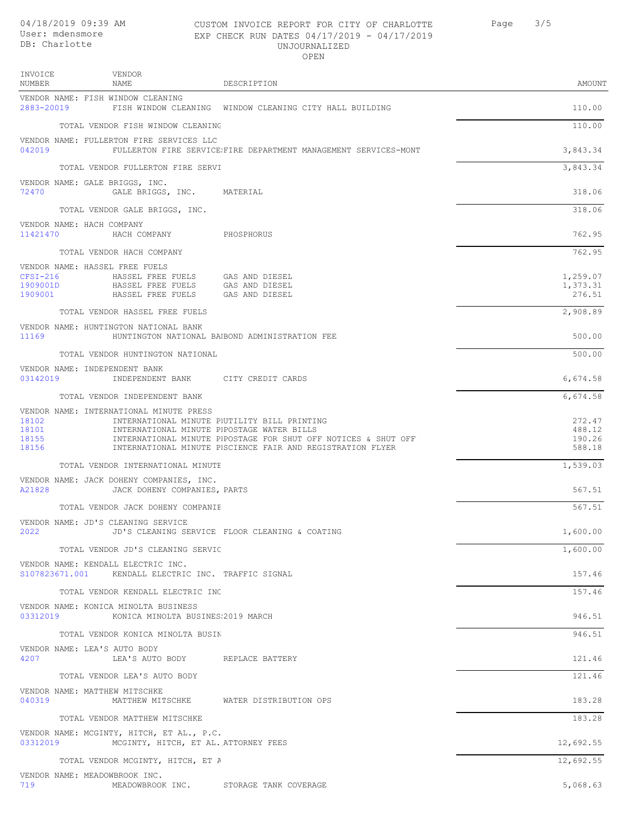**INVOICE** NUMBER

VENDOR NAME

VENDOR NAME: FISH WINDOW CLEANING

| CUSTOM INVOICE REPORT FOR CITY OF CHARLOTTE   | Page | 3/5 |
|-----------------------------------------------|------|-----|
| EXP CHECK RUN DATES $04/17/2019 - 04/17/2019$ |      |     |
| UNJOURNALIZED                                 |      |     |
| OPEN.                                         |      |     |

2883-20019 FISH WINDOW CLEANING WINDOW CLEANING CITY HALL BUILDING 110.00

| DESCRIPTION |  | AMOUNT |
|-------------|--|--------|

TOTAL VENDOR FISH WINDOW CLEANING 110.00 VENDOR NAME: FULLERTON FIRE SERVICES LLC 042019 FULLERTON FIRE SERVICE: FIRE DEPARTMENT MANAGEMENT SERVICES-MONT SAND THE SALL 3,843.34 TOTAL VENDOR FULLERTON FIRE SERVICES LATER SERVICES LATER SERVICES LATER SERVICES LATER SERVICES LATER SERVICES LATER SERVICES LATER SERVICES LATER SERVICES LATER SERVICES LATER SERVICES LA SUBSIDIERTON ET ALGEBRO DE LA SU VENDOR NAME: GALE BRIGGS, INC. 72470 GALE BRIGGS, INC. MATERIAL 318.06 TOTAL VENDOR GALE BRIGGS, INC.  $318.06$ VENDOR NAME: HACH COMPANY<br>11421470 HACH CO 11421470 HACH COMPANY PHOSPHORUS 762.95 TOTAL VENDOR HACH COMPANY 762.95 VENDOR NAME: HASSEL FREE FUELS<br>CFSI-216 HASSEL FREE CFSI-216 HASSEL FREE FUELS GAS AND DIESEL 1,259.07 1909001D HASSEL FREE FUELS GAS AND DIESEL 1,373.31 1909001 HASSEL FREE FUELS GAS AND DIESEL 276.51 TOTAL VENDOR HASSEL FREE FUELS 2,908.89 VENDOR NAME: HUNTINGTON NATIONAL BANK 11169 HUNTINGTON NATIONAL BANKBOND ADMINISTRATION FEE 500.00 TOTAL VENDOR HUNTINGTON NATIONAL BANK 500.00 VENDOR NAME: INDEPENDENT BANK 03142019 INDEPENDENT BANK CITY CREDIT CARDS 6,674.58 TOTAL VENDOR INDEPENDENT BANK 6,674.58 VENDOR NAME: INTERNATIONAL MINUTE PRESS 18102 INTERNATIONAL MINUTE PIUTILITY BILL PRINTING<br>18101 INTERNATIONAL MINUTE PIPOSTAGE WATER BILLS 18101 INTERNATIONAL MINUTE PRESS POSTAGE WATER BILLS 488.12 18155 INTERNATIONAL MINUTE PIPOSTAGE FOR SHUT OFF NOTICES & SHUT OFF NOTICES IN THE NOTICE<br>18156 INTERNATIONAL MINUTE PISCIENCE FAIR AND REGISTRATION FLYER INTERNATIONAL MINUTE PISCIENCE FAIR AND REGISTRATION FLYER TOTAL VENDOR INTERNATIONAL MINUTE **Properties and the set of the set of the set of the set of the set of the set of the set of the set of the set of the set of the set of the set of the set of the set of the set of the set** VENDOR NAME: JACK DOHENY COMPANIES, INC. A21828 JACK DOHENY COMPANIES, PARTS 567.51 TOTAL VENDOR JACK DOHENY COMPANIE VENDOR NAME: JD'S CLEANING SERVICE 2022 JD'S CLEANING SERVICE FLOOR CLEANING & COATING 1,600.00 TOTAL VENDOR JD'S CLEANING SERVICE 1,600.00 VENDOR NAME: KENDALL ELECTRIC INC. S107823671.001 KENDALL ELECTRIC INC. TRAFFIC SIGNAL 157.46 TOTAL VENDOR KENDALL ELECTRIC INC. 157.46 VENDOR NAME: KONICA MINOLTA BUSINESS KONICA MINOLTA BUSINES: 2019 MARCH 6323 AND 10312 STATES AND 1946.51 TOTAL VENDOR KONICA MINOLTA BUSINESS 946.51 VENDOR NAME: LEA'S AUTO BODY 4207 LEA'S AUTO BODY REPLACE BATTERY 121.46 TOTAL VENDOR LEA'S AUTO BODY 121.46 VENDOR NAME: MATTHEW MITSCHKE MATTHEW MITSCHKE WATER DISTRIBUTION OPS 183.28 TOTAL VENDOR MATTHEW MITSCHKE 183.28 VENDOR NAME: MCGINTY, HITCH, ET AL., P.C. 03312019 MCGINTY, HITCH, ET AL. ATTORNEY FEES 12,692.55 TOTAL VENDOR MCGINTY, HITCH, ET A

VENDOR NAME: MEADOWBROOK INC.<br>719 MEADOWBROOK MEADOWBROOK INC. STORAGE TANK COVERAGE 5,000 STORAGE 5,068.63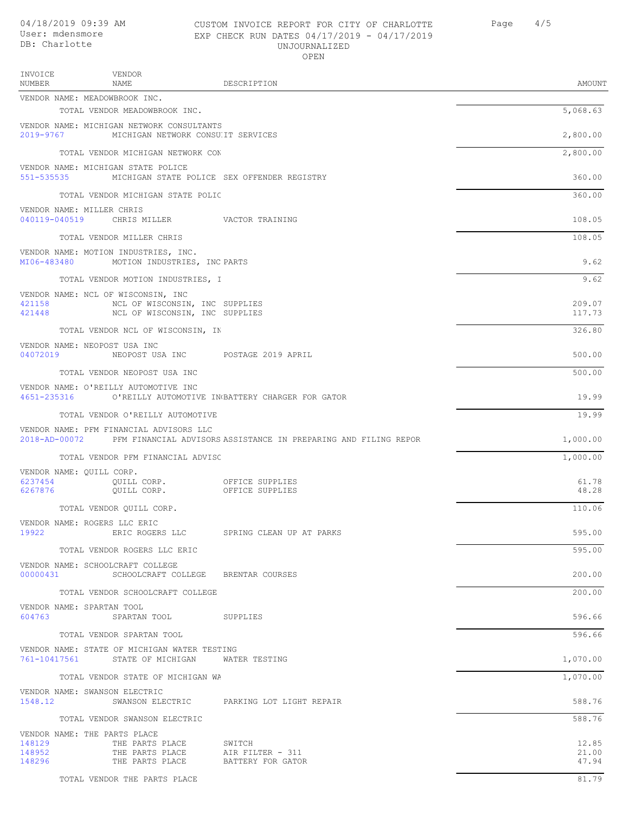#### CUSTOM INVOICE REPORT FOR CITY OF CHARLOTTE Page 4/5 04/18/2019 09:39 AM User: mdensmore EXP CHECK RUN DATES 04/17/2019 - 04/17/2019 UNJOURNALIZED OPEN

| INVOICE<br>NUMBER          | VENDOR<br>NAME                                                                           | DESCRIPTION                                                                   | AMOUNT                  |
|----------------------------|------------------------------------------------------------------------------------------|-------------------------------------------------------------------------------|-------------------------|
|                            | VENDOR NAME: MEADOWBROOK INC.<br>TOTAL VENDOR MEADOWBROOK INC.                           |                                                                               | 5,068.63                |
|                            | VENDOR NAME: MICHIGAN NETWORK CONSULTANTS                                                |                                                                               |                         |
|                            | 2019-9767 MICHIGAN NETWORK CONSUIT SERVICES                                              |                                                                               | 2,800.00                |
|                            | TOTAL VENDOR MICHIGAN NETWORK CON                                                        |                                                                               | 2,800.00                |
| 551-535535                 | VENDOR NAME: MICHIGAN STATE POLICE                                                       | MICHIGAN STATE POLICE SEX OFFENDER REGISTRY                                   | 360.00                  |
|                            | TOTAL VENDOR MICHIGAN STATE POLIC                                                        |                                                                               | 360.00                  |
|                            | VENDOR NAME: MILLER CHRIS<br>040119-040519 CHRIS MILLER VACTOR TRAINING                  |                                                                               | 108.05                  |
|                            | TOTAL VENDOR MILLER CHRIS                                                                |                                                                               | 108.05                  |
| MI06-483480                | VENDOR NAME: MOTION INDUSTRIES, INC.<br>MOTION INDUSTRIES, INC PARTS                     |                                                                               | 9.62                    |
|                            | TOTAL VENDOR MOTION INDUSTRIES, I                                                        |                                                                               | 9.62                    |
|                            | VENDOR NAME: NCL OF WISCONSIN, INC                                                       |                                                                               |                         |
| 421158<br>421448           | NCL OF WISCONSIN, INC SUPPLIES<br>NCL OF WISCONSIN, INC SUPPLIES                         |                                                                               | 209.07<br>117.73        |
|                            | TOTAL VENDOR NCL OF WISCONSIN, IN                                                        |                                                                               | 326.80                  |
|                            | VENDOR NAME: NEOPOST USA INC<br>04072019 NEOPOST USA INC POSTAGE 2019 APRIL              |                                                                               | 500.00                  |
|                            |                                                                                          |                                                                               | 500.00                  |
|                            | TOTAL VENDOR NEOPOST USA INC                                                             |                                                                               |                         |
| 4651-235316                | VENDOR NAME: O'REILLY AUTOMOTIVE INC<br>O'REILLY AUTOMOTIVE IN BATTERY CHARGER FOR GATOR |                                                                               | 19.99                   |
|                            | TOTAL VENDOR O'REILLY AUTOMOTIVE                                                         |                                                                               | 19.99                   |
|                            | VENDOR NAME: PFM FINANCIAL ADVISORS LLC                                                  | 2018-AD-00072 PFM FINANCIAL ADVISORS ASSISTANCE IN PREPARING AND FILING REPOR | 1,000.00                |
|                            | TOTAL VENDOR PFM FINANCIAL ADVISC                                                        |                                                                               | 1,000.00                |
| VENDOR NAME: QUILL CORP.   |                                                                                          |                                                                               |                         |
| 6237454<br>6267876         | QUILL CORP. OFFICE SUPPLIES<br>QUILL CORP.                                               | OFFICE SUPPLIES                                                               | 61.78<br>48.28          |
|                            | TOTAL VENDOR OUILL CORP.                                                                 |                                                                               | 110.06                  |
| 19922                      | VENDOR NAME: ROGERS LLC ERIC<br>ERIC ROGERS LLC                                          | SPRING CLEAN UP AT PARKS                                                      | 595.00                  |
|                            | TOTAL VENDOR ROGERS LLC ERIC                                                             |                                                                               | 595.00                  |
|                            | VENDOR NAME: SCHOOLCRAFT COLLEGE                                                         |                                                                               |                         |
|                            | 00000431 SCHOOLCRAFT COLLEGE BRENTAR COURSES                                             |                                                                               | 200.00                  |
|                            | TOTAL VENDOR SCHOOLCRAFT COLLEGE                                                         |                                                                               | 200.00                  |
| 604763                     | VENDOR NAME: SPARTAN TOOL<br>SPARTAN TOOL SUPPLIES                                       |                                                                               | 596.66                  |
|                            | TOTAL VENDOR SPARTAN TOOL                                                                |                                                                               | 596.66                  |
|                            | VENDOR NAME: STATE OF MICHIGAN WATER TESTING                                             |                                                                               |                         |
|                            | 761-10417561 STATE OF MICHIGAN WATER TESTING                                             |                                                                               | 1,070.00                |
|                            | TOTAL VENDOR STATE OF MICHIGAN WA                                                        |                                                                               | 1,070.00                |
| 1548.12                    | VENDOR NAME: SWANSON ELECTRIC<br>SWANSON ELECTRIC     PARKING LOT LIGHT REPAIR           |                                                                               | 588.76                  |
|                            | TOTAL VENDOR SWANSON ELECTRIC                                                            |                                                                               | 588.76                  |
|                            | VENDOR NAME: THE PARTS PLACE                                                             |                                                                               |                         |
| 148129<br>148952<br>148296 | THE PARTS PLACE<br>THE PARTS PLACE<br>THE PARTS PLACE BATTERY FOR GATOR                  | SWITCH<br>AIR FILTER - 311                                                    | 12.85<br>21,00<br>47.94 |
|                            |                                                                                          |                                                                               |                         |